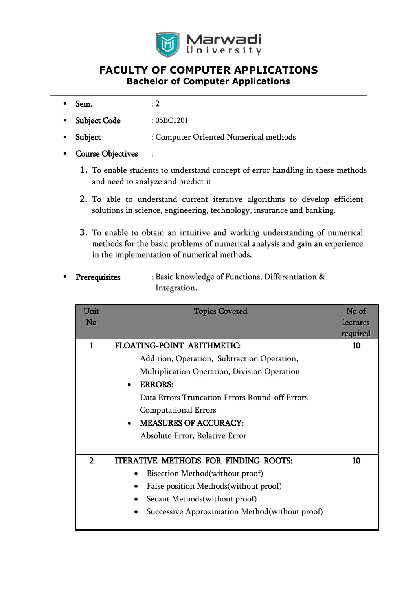

# **FACULTY OF COMPUTER APPLICATIONS Bachelor of Computer Applications**

- $Sem.$  : 2
- Subject Code : 05BC1201
- Subject : Computer Oriented Numerical methods
- Course Objectives :
	- 1. To enable students to understand concept of error handling in these methods and need to analyze and predict it
	- 2. To able to understand current iterative algorithms to develop efficient solutions in science, engineering, technology, insurance and banking.
	- 3. To enable to obtain an intuitive and working understanding of numerical methods for the basic problems of numerical analysis and gain an experience in the implementation of numerical methods.
- Prerequisites : Basic knowledge of Functions, Differentiation & Integration.

| Unit<br>No     | <b>Topics Covered</b>                                                                                                                                                                                                                                                                                                   | No of<br>lectures<br>required |
|----------------|-------------------------------------------------------------------------------------------------------------------------------------------------------------------------------------------------------------------------------------------------------------------------------------------------------------------------|-------------------------------|
| 1              | FLOATING-POINT ARITHMETIC:<br>Addition, Operation, Subtraction Operation,<br><b>Multiplication Operation, Division Operation</b><br><b>ERRORS:</b><br>٠<br>Data Errors Truncation Errors Round-off Errors<br><b>Computational Errors</b><br><b>MEASURES OF ACCURACY:</b><br>$\bullet$<br>Absolute Error, Relative Error | 10                            |
| $\overline{2}$ | <b>ITERATIVE METHODS FOR FINDING ROOTS:</b><br>Bisection Method(without proof)<br>False position Methods (without proof)<br>٠<br>Secant Methods(without proof)<br>Successive Approximation Method (without proof)                                                                                                       | 10                            |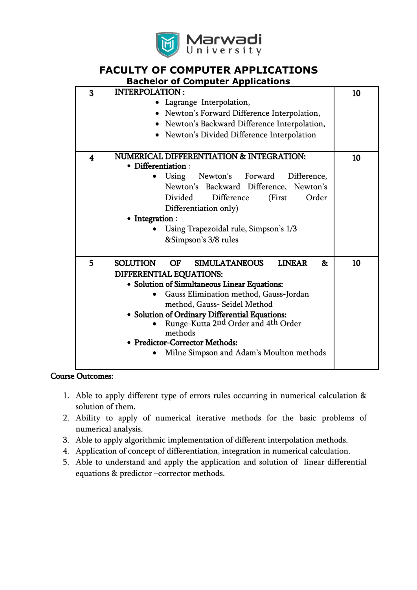

# **FACULTY OF COMPUTER APPLICATIONS**

| <b>Bachelor of Computer Applications</b> |                                                                                                                                                                                                                                                                                                                                                                                                            |    |
|------------------------------------------|------------------------------------------------------------------------------------------------------------------------------------------------------------------------------------------------------------------------------------------------------------------------------------------------------------------------------------------------------------------------------------------------------------|----|
| $\overline{\mathbf{3}}$                  | <b>INTERPOLATION:</b><br>Lagrange Interpolation,                                                                                                                                                                                                                                                                                                                                                           | 10 |
|                                          | • Newton's Forward Difference Interpolation,                                                                                                                                                                                                                                                                                                                                                               |    |
|                                          | • Newton's Backward Difference Interpolation,                                                                                                                                                                                                                                                                                                                                                              |    |
|                                          | • Newton's Divided Difference Interpolation                                                                                                                                                                                                                                                                                                                                                                |    |
| $\overline{\mathbf{4}}$                  | NUMERICAL DIFFERENTIATION & INTEGRATION:<br>• Differentiation :<br>Newton's Forward<br>Difference,<br>Using<br>Newton's Backward Difference, Newton's<br>Divided<br>Difference<br>(First<br>Order                                                                                                                                                                                                          | 10 |
|                                          | Differentiation only)                                                                                                                                                                                                                                                                                                                                                                                      |    |
|                                          | • Integration:<br>Using Trapezoidal rule, Simpson's 1/3                                                                                                                                                                                                                                                                                                                                                    |    |
|                                          | &Simpson's 3/8 rules                                                                                                                                                                                                                                                                                                                                                                                       |    |
| 5                                        | <b>SOLUTION</b><br>OF<br><b>SIMULATANEOUS</b><br><b>LINEAR</b><br>&<br>DIFFERENTIAL EQUATIONS:<br>• Solution of Simultaneous Linear Equations:<br>Gauss Elimination method, Gauss-Jordan<br>method, Gauss- Seidel Method<br>• Solution of Ordinary Differential Equations:<br>Runge-Kutta 2nd Order and 4th Order<br>methods<br>• Predictor-Corrector Methods:<br>Milne Simpson and Adam's Moulton methods | 10 |

#### Course Outcomes:

- 1. Able to apply different type of errors rules occurring in numerical calculation & solution of them.
- 2. Ability to apply of numerical iterative methods for the basic problems of numerical analysis.
- 3. Able to apply algorithmic implementation of different interpolation methods.
- 4. Application of concept of differentiation, integration in numerical calculation.
- 5. Able to understand and apply the application and solution of linear differential equations & predictor –corrector methods.